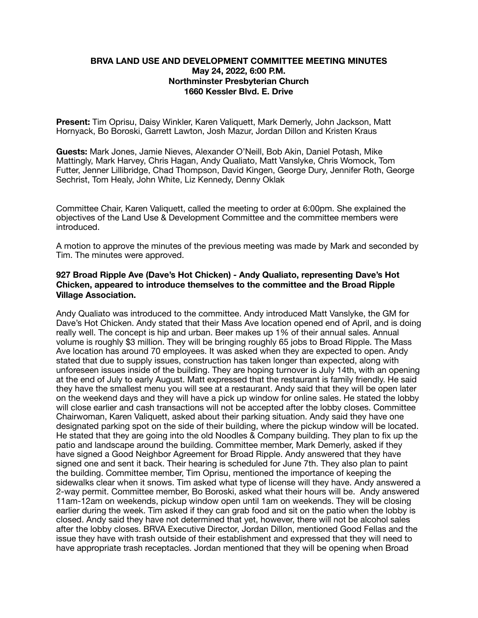## **BRVA LAND USE AND DEVELOPMENT COMMITTEE MEETING MINUTES May 24, 2022, 6:00 P.M. Northminster Presbyterian Church 1660 Kessler Blvd. E. Drive**

**Present:** Tim Oprisu, Daisy Winkler, Karen Valiquett, Mark Demerly, John Jackson, Matt Hornyack, Bo Boroski, Garrett Lawton, Josh Mazur, Jordan Dillon and Kristen Kraus

**Guests:** Mark Jones, Jamie Nieves, Alexander O'Neill, Bob Akin, Daniel Potash, Mike Mattingly, Mark Harvey, Chris Hagan, Andy Qualiato, Matt Vanslyke, Chris Womock, Tom Futter, Jenner Lillibridge, Chad Thompson, David Kingen, George Dury, Jennifer Roth, George Sechrist, Tom Healy, John White, Liz Kennedy, Denny Oklak

Committee Chair, Karen Valiquett, called the meeting to order at 6:00pm. She explained the objectives of the Land Use & Development Committee and the committee members were introduced.

A motion to approve the minutes of the previous meeting was made by Mark and seconded by Tim. The minutes were approved.

## **927 Broad Ripple Ave (Dave's Hot Chicken) - Andy Qualiato, representing Dave's Hot Chicken, appeared to introduce themselves to the committee and the Broad Ripple Village Association.**

Andy Qualiato was introduced to the committee. Andy introduced Matt Vanslyke, the GM for Dave's Hot Chicken. Andy stated that their Mass Ave location opened end of April, and is doing really well. The concept is hip and urban. Beer makes up 1% of their annual sales. Annual volume is roughly \$3 million. They will be bringing roughly 65 jobs to Broad Ripple. The Mass Ave location has around 70 employees. It was asked when they are expected to open. Andy stated that due to supply issues, construction has taken longer than expected, along with unforeseen issues inside of the building. They are hoping turnover is July 14th, with an opening at the end of July to early August. Matt expressed that the restaurant is family friendly. He said they have the smallest menu you will see at a restaurant. Andy said that they will be open later on the weekend days and they will have a pick up window for online sales. He stated the lobby will close earlier and cash transactions will not be accepted after the lobby closes. Committee Chairwoman, Karen Valiquett, asked about their parking situation. Andy said they have one designated parking spot on the side of their building, where the pickup window will be located. He stated that they are going into the old Noodles & Company building. They plan to fix up the patio and landscape around the building. Committee member, Mark Demerly, asked if they have signed a Good Neighbor Agreement for Broad Ripple. Andy answered that they have signed one and sent it back. Their hearing is scheduled for June 7th. They also plan to paint the building. Committee member, Tim Oprisu, mentioned the importance of keeping the sidewalks clear when it snows. Tim asked what type of license will they have. Andy answered a 2-way permit. Committee member, Bo Boroski, asked what their hours will be. Andy answered 11am-12am on weekends, pickup window open until 1am on weekends. They will be closing earlier during the week. Tim asked if they can grab food and sit on the patio when the lobby is closed. Andy said they have not determined that yet, however, there will not be alcohol sales after the lobby closes. BRVA Executive Director, Jordan Dillon, mentioned Good Fellas and the issue they have with trash outside of their establishment and expressed that they will need to have appropriate trash receptacles. Jordan mentioned that they will be opening when Broad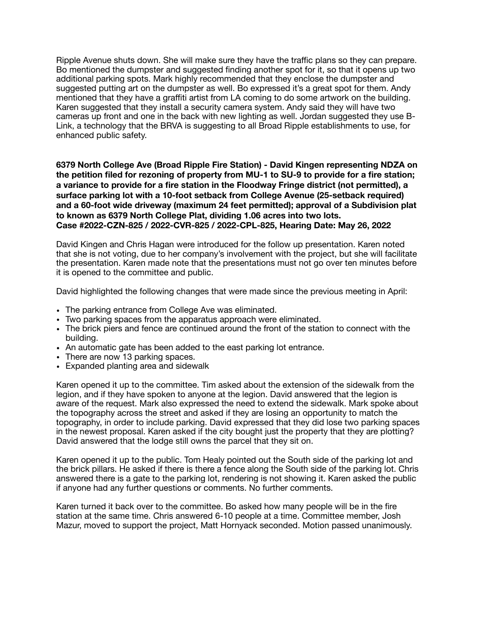Ripple Avenue shuts down. She will make sure they have the traffic plans so they can prepare. Bo mentioned the dumpster and suggested finding another spot for it, so that it opens up two additional parking spots. Mark highly recommended that they enclose the dumpster and suggested putting art on the dumpster as well. Bo expressed it's a great spot for them. Andy mentioned that they have a graffiti artist from LA coming to do some artwork on the building. Karen suggested that they install a security camera system. Andy said they will have two cameras up front and one in the back with new lighting as well. Jordan suggested they use B-Link, a technology that the BRVA is suggesting to all Broad Ripple establishments to use, for enhanced public safety.

**6379 North College Ave (Broad Ripple Fire Station) - David Kingen representing NDZA on the petition filed for rezoning of property from MU-1 to SU-9 to provide for a fire station; a variance to provide for a fire station in the Floodway Fringe district (not permitted), a surface parking lot with a 10-foot setback from College Avenue (25-setback required) and a 60-foot wide driveway (maximum 24 feet permitted); approval of a Subdivision plat to known as 6379 North College Plat, dividing 1.06 acres into two lots. Case #2022-CZN-825 / 2022-CVR-825 / 2022-CPL-825, Hearing Date: May 26, 2022** 

David Kingen and Chris Hagan were introduced for the follow up presentation. Karen noted that she is not voting, due to her company's involvement with the project, but she will facilitate the presentation. Karen made note that the presentations must not go over ten minutes before it is opened to the committee and public.

David highlighted the following changes that were made since the previous meeting in April:

- The parking entrance from College Ave was eliminated.
- Two parking spaces from the apparatus approach were eliminated.
- The brick piers and fence are continued around the front of the station to connect with the building.
- An automatic gate has been added to the east parking lot entrance.
- There are now 13 parking spaces.
- Expanded planting area and sidewalk

Karen opened it up to the committee. Tim asked about the extension of the sidewalk from the legion, and if they have spoken to anyone at the legion. David answered that the legion is aware of the request. Mark also expressed the need to extend the sidewalk. Mark spoke about the topography across the street and asked if they are losing an opportunity to match the topography, in order to include parking. David expressed that they did lose two parking spaces in the newest proposal. Karen asked if the city bought just the property that they are plotting? David answered that the lodge still owns the parcel that they sit on.

Karen opened it up to the public. Tom Healy pointed out the South side of the parking lot and the brick pillars. He asked if there is there a fence along the South side of the parking lot. Chris answered there is a gate to the parking lot, rendering is not showing it. Karen asked the public if anyone had any further questions or comments. No further comments.

Karen turned it back over to the committee. Bo asked how many people will be in the fire station at the same time. Chris answered 6-10 people at a time. Committee member, Josh Mazur, moved to support the project, Matt Hornyack seconded. Motion passed unanimously.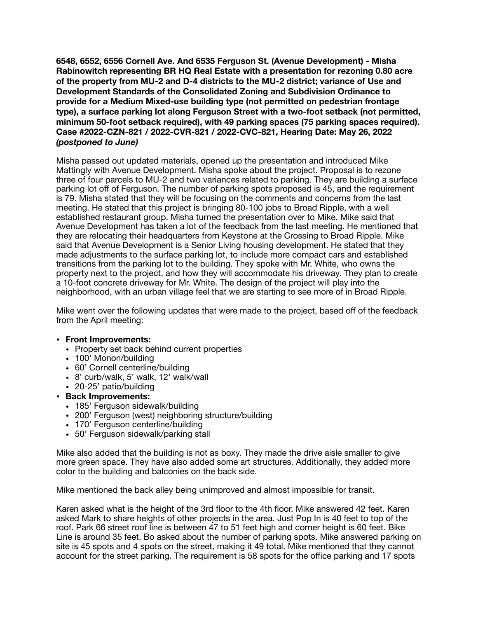**6548, 6552, 6556 Cornell Ave. And 6535 Ferguson St. (Avenue Development) - Misha Rabinowitch representing BR HQ Real Estate with a presentation for rezoning 0.80 acre of the property from MU-2 and D-4 districts to the MU-2 district; variance of Use and Development Standards of the Consolidated Zoning and Subdivision Ordinance to provide for a Medium Mixed-use building type (not permitted on pedestrian frontage type), a surface parking lot along Ferguson Street with a two-foot setback (not permitted, minimum 50-foot setback required), with 49 parking spaces (75 parking spaces required). Case #2022-CZN-821 / 2022-CVR-821 / 2022-CVC-821, Hearing Date: May 26, 2022**  *(postponed to June)*

Misha passed out updated materials, opened up the presentation and introduced Mike Mattingly with Avenue Development. Misha spoke about the project. Proposal is to rezone three of four parcels to MU-2 and two variances related to parking. They are building a surface parking lot off of Ferguson. The number of parking spots proposed is 45, and the requirement is 79. Misha stated that they will be focusing on the comments and concerns from the last meeting. He stated that this project is bringing 80-100 jobs to Broad Ripple, with a well established restaurant group. Misha turned the presentation over to Mike. Mike said that Avenue Development has taken a lot of the feedback from the last meeting. He mentioned that they are relocating their headquarters from Keystone at the Crossing to Broad Ripple. Mike said that Avenue Development is a Senior Living housing development. He stated that they made adjustments to the surface parking lot, to include more compact cars and established transitions from the parking lot to the building. They spoke with Mr. White, who owns the property next to the project, and how they will accommodate his driveway. They plan to create a 10-foot concrete driveway for Mr. White. The design of the project will play into the neighborhood, with an urban village feel that we are starting to see more of in Broad Ripple.

Mike went over the following updates that were made to the project, based off of the feedback from the April meeting:

## **• Front Improvements:**

- Property set back behind current properties
- 100' Monon/building
- 60' Cornell centerline/building
- 8' curb/walk, 5' walk, 12' walk/wall
- 20-25' patio/building

## **• Back Improvements:**

- 185' Ferguson sidewalk/building
- 200' Ferguson (west) neighboring structure/building
- 170' Ferguson centerline/building
- 50' Ferguson sidewalk/parking stall

Mike also added that the building is not as boxy. They made the drive aisle smaller to give more green space. They have also added some art structures. Additionally, they added more color to the building and balconies on the back side.

Mike mentioned the back alley being unimproved and almost impossible for transit.

Karen asked what is the height of the 3rd floor to the 4th floor. Mike answered 42 feet. Karen asked Mark to share heights of other projects in the area. Just Pop In is 40 feet to top of the roof. Park 66 street roof line is between 47 to 51 feet high and corner height is 60 feet. Bike Line is around 35 feet. Bo asked about the number of parking spots. Mike answered parking on site is 45 spots and 4 spots on the street, making it 49 total. Mike mentioned that they cannot account for the street parking. The requirement is 58 spots for the office parking and 17 spots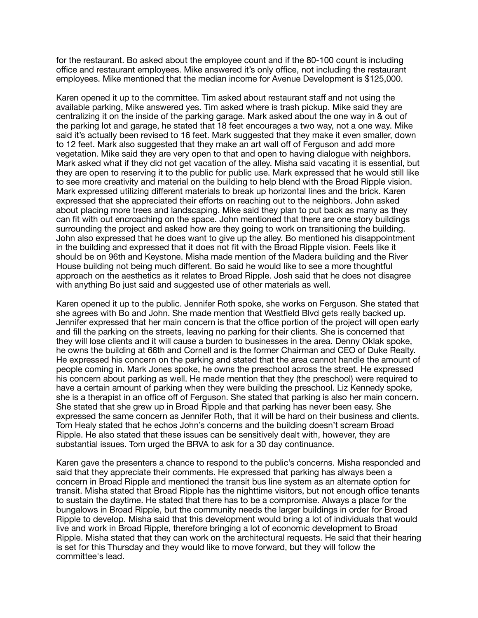for the restaurant. Bo asked about the employee count and if the 80-100 count is including office and restaurant employees. Mike answered it's only office, not including the restaurant employees. Mike mentioned that the median income for Avenue Development is \$125,000.

Karen opened it up to the committee. Tim asked about restaurant staff and not using the available parking, Mike answered yes. Tim asked where is trash pickup. Mike said they are centralizing it on the inside of the parking garage. Mark asked about the one way in & out of the parking lot and garage, he stated that 18 feet encourages a two way, not a one way. Mike said it's actually been revised to 16 feet. Mark suggested that they make it even smaller, down to 12 feet. Mark also suggested that they make an art wall off of Ferguson and add more vegetation. Mike said they are very open to that and open to having dialogue with neighbors. Mark asked what if they did not get vacation of the alley. Misha said vacating it is essential, but they are open to reserving it to the public for public use. Mark expressed that he would still like to see more creativity and material on the building to help blend with the Broad Ripple vision. Mark expressed utilizing different materials to break up horizontal lines and the brick. Karen expressed that she appreciated their efforts on reaching out to the neighbors. John asked about placing more trees and landscaping. Mike said they plan to put back as many as they can fit with out encroaching on the space. John mentioned that there are one story buildings surrounding the project and asked how are they going to work on transitioning the building. John also expressed that he does want to give up the alley. Bo mentioned his disappointment in the building and expressed that it does not fit with the Broad Ripple vision. Feels like it should be on 96th and Keystone. Misha made mention of the Madera building and the River House building not being much different. Bo said he would like to see a more thoughtful approach on the aesthetics as it relates to Broad Ripple. Josh said that he does not disagree with anything Bo just said and suggested use of other materials as well.

Karen opened it up to the public. Jennifer Roth spoke, she works on Ferguson. She stated that she agrees with Bo and John. She made mention that Westfield Blvd gets really backed up. Jennifer expressed that her main concern is that the office portion of the project will open early and fill the parking on the streets, leaving no parking for their clients. She is concerned that they will lose clients and it will cause a burden to businesses in the area. Denny Oklak spoke, he owns the building at 66th and Cornell and is the former Chairman and CEO of Duke Realty. He expressed his concern on the parking and stated that the area cannot handle the amount of people coming in. Mark Jones spoke, he owns the preschool across the street. He expressed his concern about parking as well. He made mention that they (the preschool) were required to have a certain amount of parking when they were building the preschool. Liz Kennedy spoke, she is a therapist in an office off of Ferguson. She stated that parking is also her main concern. She stated that she grew up in Broad Ripple and that parking has never been easy. She expressed the same concern as Jennifer Roth, that it will be hard on their business and clients. Tom Healy stated that he echos John's concerns and the building doesn't scream Broad Ripple. He also stated that these issues can be sensitively dealt with, however, they are substantial issues. Tom urged the BRVA to ask for a 30 day continuance.

Karen gave the presenters a chance to respond to the public's concerns. Misha responded and said that they appreciate their comments. He expressed that parking has always been a concern in Broad Ripple and mentioned the transit bus line system as an alternate option for transit. Misha stated that Broad Ripple has the nighttime visitors, but not enough office tenants to sustain the daytime. He stated that there has to be a compromise. Always a place for the bungalows in Broad Ripple, but the community needs the larger buildings in order for Broad Ripple to develop. Misha said that this development would bring a lot of individuals that would live and work in Broad Ripple, therefore bringing a lot of economic development to Broad Ripple. Misha stated that they can work on the architectural requests. He said that their hearing is set for this Thursday and they would like to move forward, but they will follow the committee's lead.